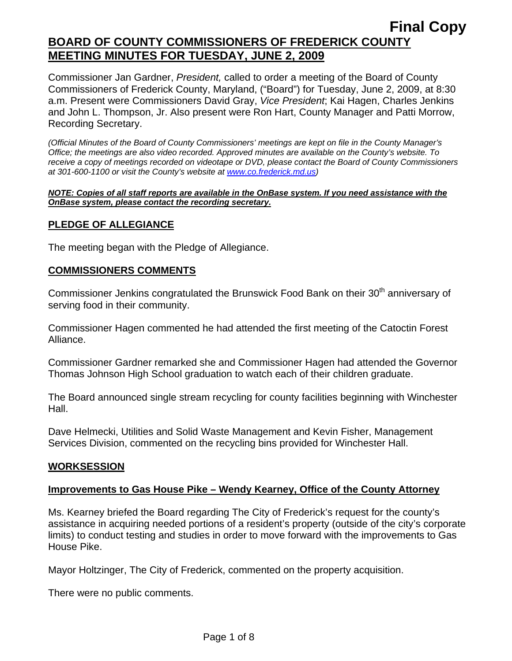Commissioner Jan Gardner, *President,* called to order a meeting of the Board of County Commissioners of Frederick County, Maryland, ("Board") for Tuesday, June 2, 2009, at 8:30 a.m. Present were Commissioners David Gray, *Vice President*; Kai Hagen, Charles Jenkins and John L. Thompson, Jr. Also present were Ron Hart, County Manager and Patti Morrow, Recording Secretary.

*(Official Minutes of the Board of County Commissioners' meetings are kept on file in the County Manager's Office; the meetings are also video recorded. Approved minutes are available on the County's website. To receive a copy of meetings recorded on videotape or DVD, please contact the Board of County Commissioners at 301-600-1100 or visit the County's website at [www.co.frederick.md.us\)](http://www.co.frederick.md.us/)* 

#### *NOTE: Copies of all staff reports are available in the OnBase system. If you need assistance with the OnBase system, please contact the recording secretary.*

## **PLEDGE OF ALLEGIANCE**

The meeting began with the Pledge of Allegiance.

### **COMMISSIONERS COMMENTS**

Commissioner Jenkins congratulated the Brunswick Food Bank on their 30<sup>th</sup> anniversary of serving food in their community.

Commissioner Hagen commented he had attended the first meeting of the Catoctin Forest Alliance.

Commissioner Gardner remarked she and Commissioner Hagen had attended the Governor Thomas Johnson High School graduation to watch each of their children graduate.

The Board announced single stream recycling for county facilities beginning with Winchester Hall.

Dave Helmecki, Utilities and Solid Waste Management and Kevin Fisher, Management Services Division, commented on the recycling bins provided for Winchester Hall.

### **WORKSESSION**

### **Improvements to Gas House Pike – Wendy Kearney, Office of the County Attorney**

Ms. Kearney briefed the Board regarding The City of Frederick's request for the county's assistance in acquiring needed portions of a resident's property (outside of the city's corporate limits) to conduct testing and studies in order to move forward with the improvements to Gas House Pike.

Mayor Holtzinger, The City of Frederick, commented on the property acquisition.

There were no public comments.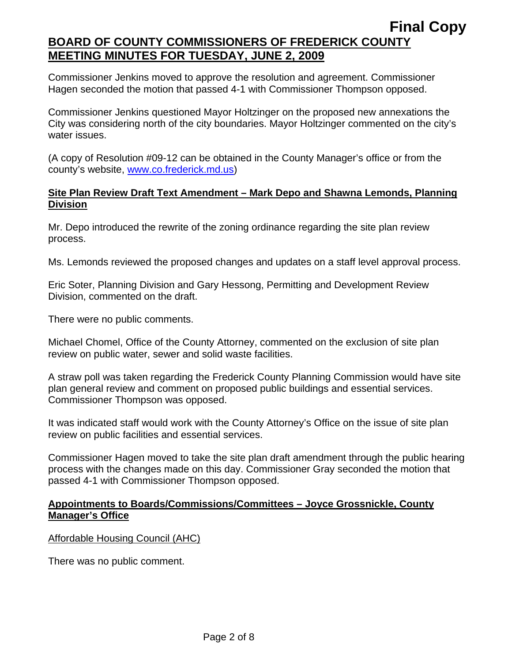Commissioner Jenkins moved to approve the resolution and agreement. Commissioner Hagen seconded the motion that passed 4-1 with Commissioner Thompson opposed.

Commissioner Jenkins questioned Mayor Holtzinger on the proposed new annexations the City was considering north of the city boundaries. Mayor Holtzinger commented on the city's water issues.

(A copy of Resolution #09-12 can be obtained in the County Manager's office or from the county's website, www.co.frederick.md.us)

### **Site Plan Review Draft Text Amendment – Mark Depo and Shawna Lemonds, Planning Division**

Mr. Depo introduced the rewrite of the zoning ordinance regarding the site plan review process.

Ms. Lemonds reviewed the proposed changes and updates on a staff level approval process.

Eric Soter, Planning Division and Gary Hessong, Permitting and Development Review Division, commented on the draft.

There were no public comments.

Michael Chomel, Office of the County Attorney, commented on the exclusion of site plan review on public water, sewer and solid waste facilities.

A straw poll was taken regarding the Frederick County Planning Commission would have site plan general review and comment on proposed public buildings and essential services. Commissioner Thompson was opposed.

It was indicated staff would work with the County Attorney's Office on the issue of site plan review on public facilities and essential services.

Commissioner Hagen moved to take the site plan draft amendment through the public hearing process with the changes made on this day. Commissioner Gray seconded the motion that passed 4-1 with Commissioner Thompson opposed.

## **Appointments to Boards/Commissions/Committees – Joyce Grossnickle, County Manager's Office**

Affordable Housing Council (AHC)

There was no public comment.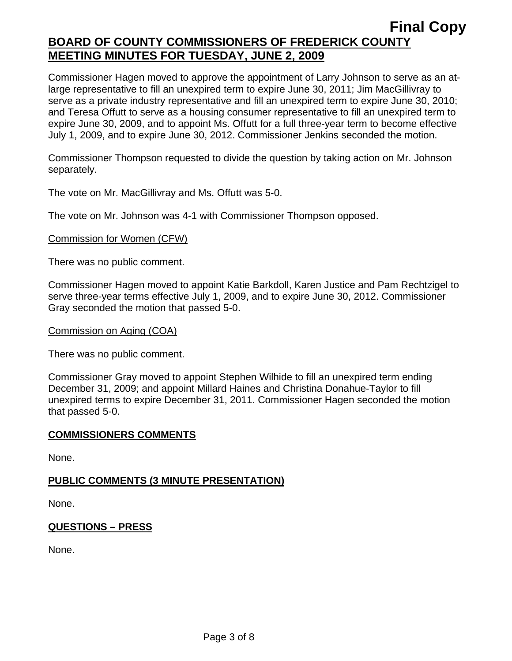Commissioner Hagen moved to approve the appointment of Larry Johnson to serve as an atlarge representative to fill an unexpired term to expire June 30, 2011; Jim MacGillivray to serve as a private industry representative and fill an unexpired term to expire June 30, 2010; and Teresa Offutt to serve as a housing consumer representative to fill an unexpired term to expire June 30, 2009, and to appoint Ms. Offutt for a full three-year term to become effective July 1, 2009, and to expire June 30, 2012. Commissioner Jenkins seconded the motion.

Commissioner Thompson requested to divide the question by taking action on Mr. Johnson separately.

The vote on Mr. MacGillivray and Ms. Offutt was 5-0.

The vote on Mr. Johnson was 4-1 with Commissioner Thompson opposed.

#### Commission for Women (CFW)

There was no public comment.

Commissioner Hagen moved to appoint Katie Barkdoll, Karen Justice and Pam Rechtzigel to serve three-year terms effective July 1, 2009, and to expire June 30, 2012. Commissioner Gray seconded the motion that passed 5-0.

#### Commission on Aging (COA)

There was no public comment.

Commissioner Gray moved to appoint Stephen Wilhide to fill an unexpired term ending December 31, 2009; and appoint Millard Haines and Christina Donahue-Taylor to fill unexpired terms to expire December 31, 2011. Commissioner Hagen seconded the motion that passed 5-0.

#### **COMMISSIONERS COMMENTS**

None.

#### **PUBLIC COMMENTS (3 MINUTE PRESENTATION)**

None.

#### **QUESTIONS – PRESS**

None.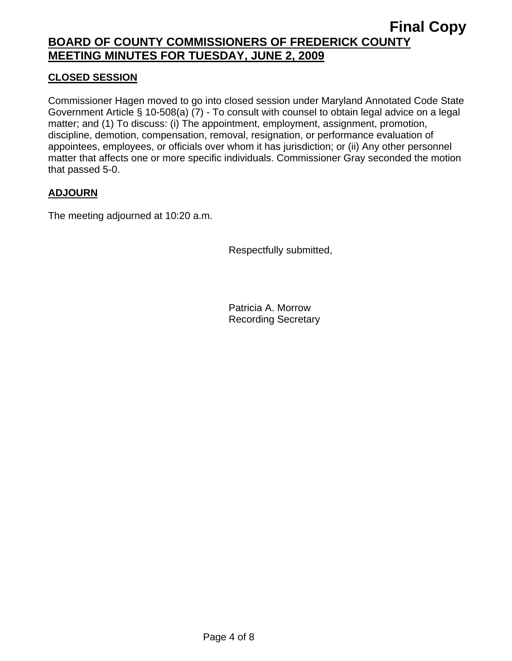## **CLOSED SESSION**

Commissioner Hagen moved to go into closed session under Maryland Annotated Code State Government Article § 10-508(a) (7) - To consult with counsel to obtain legal advice on a legal matter; and (1) To discuss: (i) The appointment, employment, assignment, promotion, discipline, demotion, compensation, removal, resignation, or performance evaluation of appointees, employees, or officials over whom it has jurisdiction; or (ii) Any other personnel matter that affects one or more specific individuals. Commissioner Gray seconded the motion that passed 5-0.

## **ADJOURN**

The meeting adjourned at 10:20 a.m.

Respectfully submitted,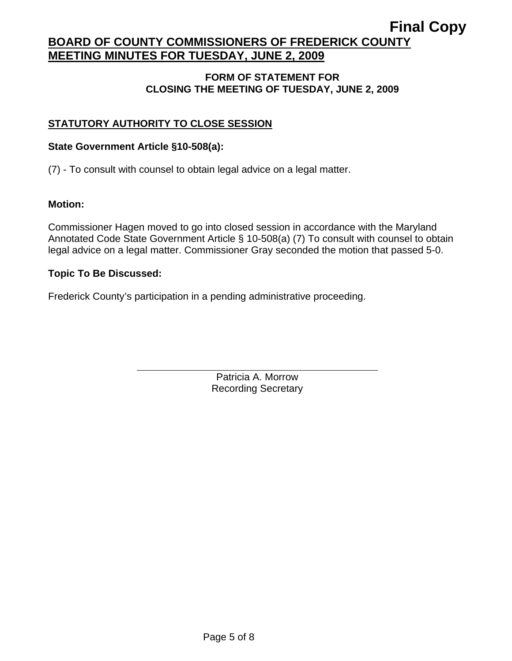## **FORM OF STATEMENT FOR CLOSING THE MEETING OF TUESDAY, JUNE 2, 2009**

## **STATUTORY AUTHORITY TO CLOSE SESSION**

### **State Government Article §10-508(a):**

 $\overline{a}$ 

(7) - To consult with counsel to obtain legal advice on a legal matter.

### **Motion:**

Commissioner Hagen moved to go into closed session in accordance with the Maryland Annotated Code State Government Article § 10-508(a) (7) To consult with counsel to obtain legal advice on a legal matter. Commissioner Gray seconded the motion that passed 5-0.

### **Topic To Be Discussed:**

Frederick County's participation in a pending administrative proceeding.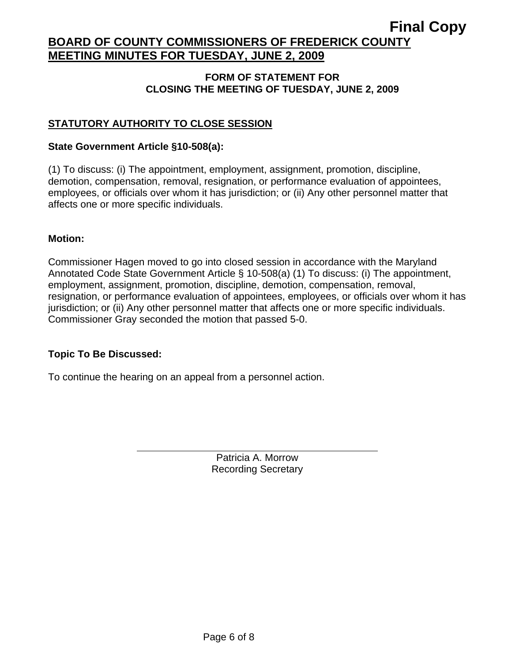### **FORM OF STATEMENT FOR CLOSING THE MEETING OF TUESDAY, JUNE 2, 2009**

## **STATUTORY AUTHORITY TO CLOSE SESSION**

### **State Government Article §10-508(a):**

(1) To discuss: (i) The appointment, employment, assignment, promotion, discipline, demotion, compensation, removal, resignation, or performance evaluation of appointees, employees, or officials over whom it has jurisdiction; or (ii) Any other personnel matter that affects one or more specific individuals.

### **Motion:**

Commissioner Hagen moved to go into closed session in accordance with the Maryland Annotated Code State Government Article § 10-508(a) (1) To discuss: (i) The appointment, employment, assignment, promotion, discipline, demotion, compensation, removal, resignation, or performance evaluation of appointees, employees, or officials over whom it has jurisdiction; or (ii) Any other personnel matter that affects one or more specific individuals. Commissioner Gray seconded the motion that passed 5-0.

### **Topic To Be Discussed:**

 $\overline{a}$ 

To continue the hearing on an appeal from a personnel action.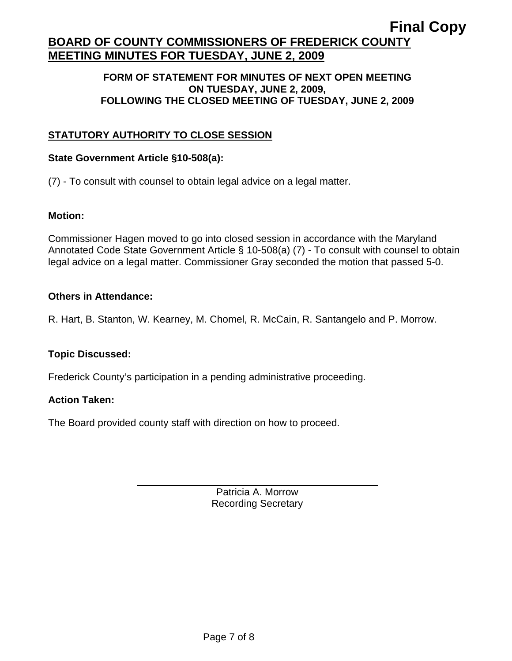### **FORM OF STATEMENT FOR MINUTES OF NEXT OPEN MEETING ON TUESDAY, JUNE 2, 2009, FOLLOWING THE CLOSED MEETING OF TUESDAY, JUNE 2, 2009**

## **STATUTORY AUTHORITY TO CLOSE SESSION**

### **State Government Article §10-508(a):**

 $\overline{a}$ 

(7) - To consult with counsel to obtain legal advice on a legal matter.

### **Motion:**

Commissioner Hagen moved to go into closed session in accordance with the Maryland Annotated Code State Government Article § 10-508(a) (7) - To consult with counsel to obtain legal advice on a legal matter. Commissioner Gray seconded the motion that passed 5-0.

### **Others in Attendance:**

R. Hart, B. Stanton, W. Kearney, M. Chomel, R. McCain, R. Santangelo and P. Morrow.

### **Topic Discussed:**

Frederick County's participation in a pending administrative proceeding.

### **Action Taken:**

The Board provided county staff with direction on how to proceed.